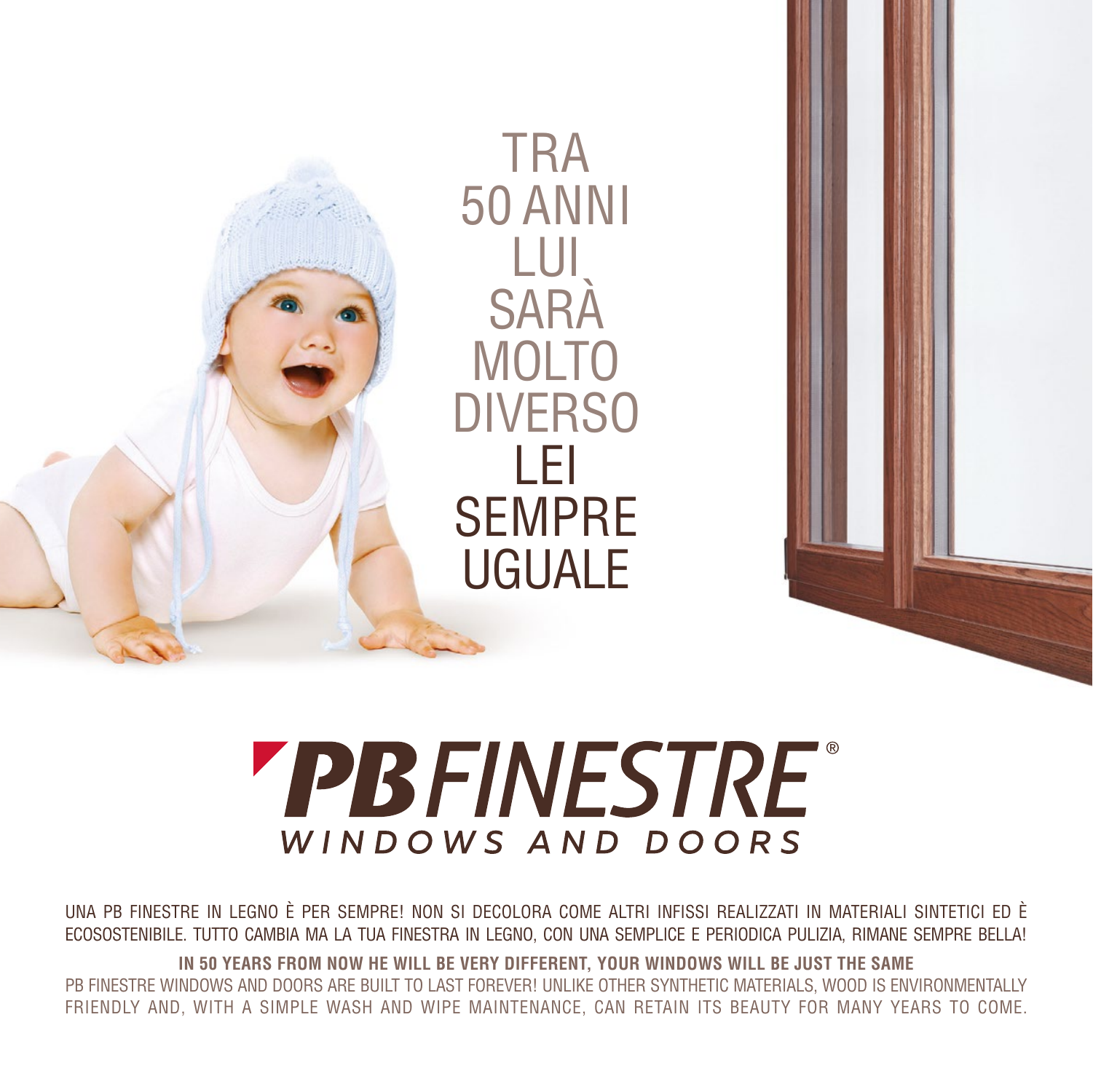

# **PBFINESTRE** WINDOWS AND DOORS

UNA PB FINESTRE IN LEGNO È PER SEMPRE! NON SI DECOLORA COME ALTRI INFISSI REALIZZATI IN MATERIALI SINTETICI ED È ECOSOSTENIBILE. TUTTO CAMBIA MA LA TUA FINESTRA IN LEGNO, CON UNA SEMPLICE E PERIODICA PULIZIA, RIMANE SEMPRE BELLA!

**IN 50 YEARS FROM NOW HE WILL BE VERY DIFFERENT, YOUR WINDOWS WILL BE JUST THE SAME** PB FINESTRE WINDOWS AND DOORS ARE BUILT TO LAST FOREVER! UNLIKE OTHER SYNTHETIC MATERIALS, WOOD IS ENVIRONMENTALLY FRIENDLY AND, WITH A SIMPLE WASH AND WIPE MAINTENANCE, CAN RETAIN ITS BEAUTY FOR MANY YEARS TO COME.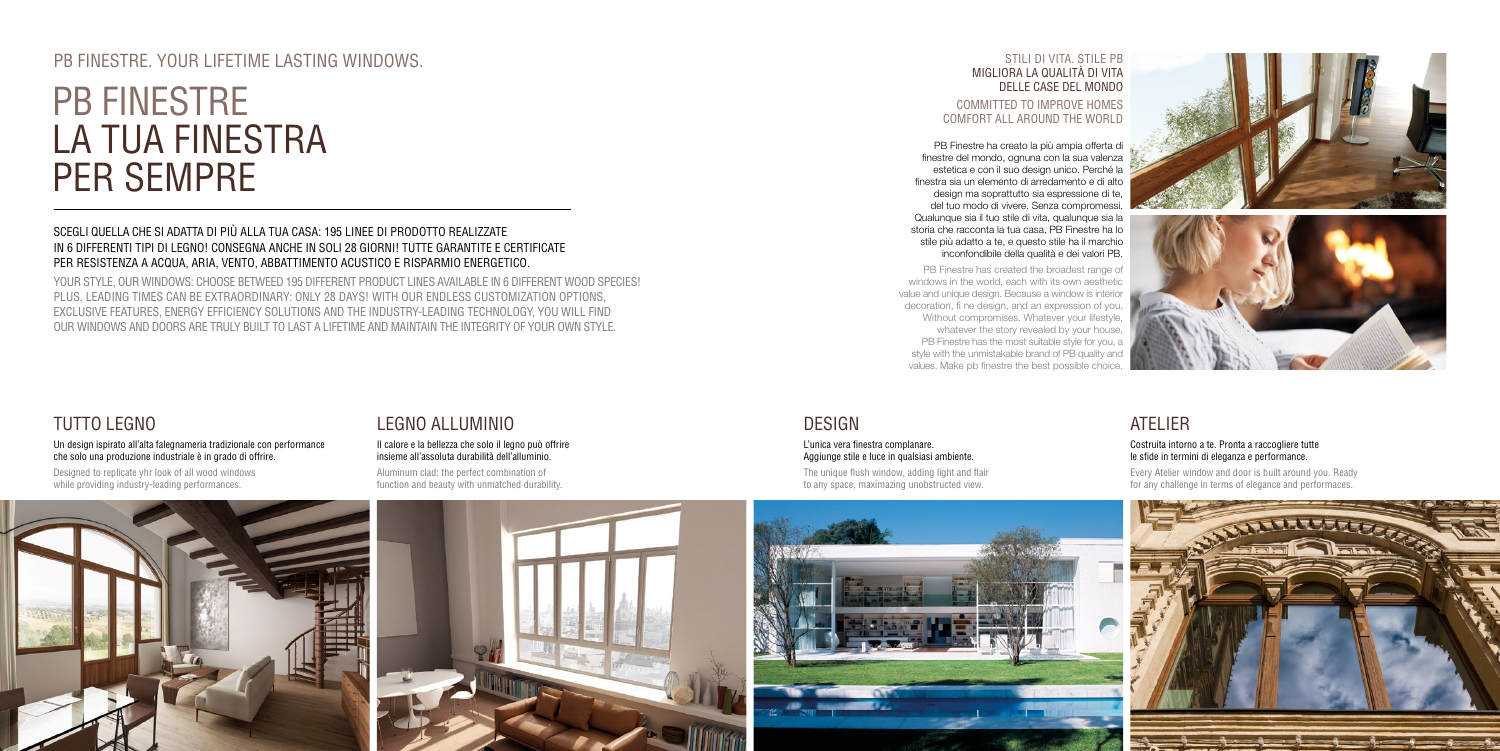## SCEGLI QUELLA CHE SI ADATTA DI PIÙ ALLA TUA CASA: 195 LINEE DI PRODOTTO REALIZZATE IN 6 DIFFERENTI TIPI DI LEGNO! CONSEGNA ANCHE IN SOLI 28 GIORNI! TUTTE GARANTITE E CERTIFICATE PER RESISTENZA A ACQUA, ARIA, VENTO, ABBATTIMENTO ACUSTICO E RISPARMIO ENERGETICO.

Designed to replicate yhr look of all wood windows while providing industry-leading performances.

YOUR STYLE, OUR WINDOWS: CHOOSE BETWEED 195 DIFFERENT PRODUCT LINES AVAILABLE IN 6 DIFFERENT WOOD SPECIES! PLUS, LEADING TIMES CAN BE EXTRAORDINARY: ONLY 28 DAYS! WITH OUR ENDLESS CUSTOMIZATION OPTIONS, EXCLUSIVE FEATURES, ENERGY EFFICIENCY SOLUTIONS AND THE INDUSTRY-LEADING TECHNOLOGY, YOU WILL FIND OUR WINDOWS AND DOORS ARE TRULY BUILT TO LAST A LIFETIME AND MAINTAIN THE INTEGRITY OF YOUR OWN STYLE.

# TUTTO LEGNO

Un design ispirato all'alta falegnameria tradizionale con performance che solo una produzione industriale è in grado di offrire.

# LEGNO ALLUMINIO

#### Il calore e la bellezza che solo il legno può offrire insieme all'assoluta durabilità dell'alluminio.

Aluminum clad: the perfect combination of function and beauty with unmatched durability.

# ATELIER

#### Costruita intorno a te. Pronta a raccogliere tutte le sfide in termini di eleganza e performance.

Every Atelier window and door is built around you. Ready for any challenge in terms of elegance and performaces.

## DESIGN

### L'unica vera finestra complanare. Aggiunge stile e luce in qualsiasi ambiente.

The unique flush window, adding light and flair to any space, maximazing unobstructed view.











## PR FINESTRE. YOUR LIFETIME LASTING WINDOWS. STILL DI VITA. STILL DI VITA. STILL DI VITA. STILL PB

# PB FINESTRE LA TUA FINESTRA PER SEMPRE

# MIGLIORA LA QUALITÀ DI VITA DELLE CASE DEL MONDO

### COMMITTED TO IMPROVE HOMES COMFORT ALL AROUND THE WORLD

PB Finestre ha creato la più ampia offerta di finestre del mondo, ognuna con la sua valenza estetica e con il suo design unico. Perché la finestra sia un elemento di arredamento e di alto design ma soprattutto sia espressione di te, del tuo modo di vivere. Senza compromessi. Qualunque sia il tuo stile di vita, qualunque sia la storia che racconta la tua casa, PB Finestre ha lo stile più adatto a te, e questo stile ha il marchio inconfondibile della qualità e dei valori PB.

PB Finestre has created the broadest range of windows in the world, each with its own aesthetic value and unique design. Because a window is interior decoration, fi ne design, and an expression of you. Without compromises. Whatever your lifestyle, whatever the story revealed by your house, PB Finestre has the most suitable style for you, a style with the unmistakable brand of PB quality and values. Make pb finestre the best possible choice.